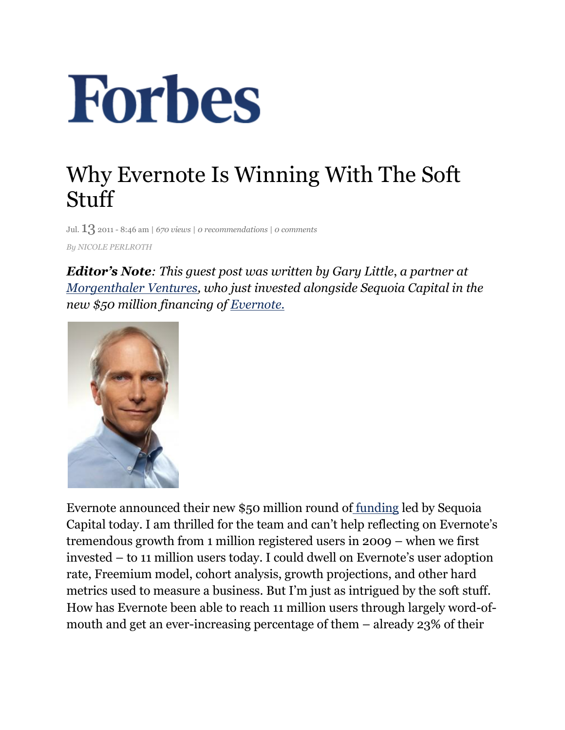## **Forbes**

## Why Evernote Is Winning With The Soft Stuff

Jul. 13 2011 - 8:46 am | *670 views* <sup>|</sup>*0 recommendations* <sup>|</sup>*0 comments By NICOLE PERLROTH*

*Editor's Note: This guest post was written by Gary Little*, *a partner at Morgenthaler Ventures, who just invested alongside Sequoia Capital in the new \$50 million financing of Evernote.*



Evernote announced their new \$50 million round of funding led by Sequoia Capital today. I am thrilled for the team and can't help reflecting on Evernote's tremendous growth from 1 million registered users in 2009 – when we first invested – to 11 million users today. I could dwell on Evernote's user adoption rate, Freemium model, cohort analysis, growth projections, and other hard metrics used to measure a business. But I'm just as intrigued by the soft stuff. How has Evernote been able to reach 11 million users through largely word-ofmouth and get an ever-increasing percentage of them – already 23% of their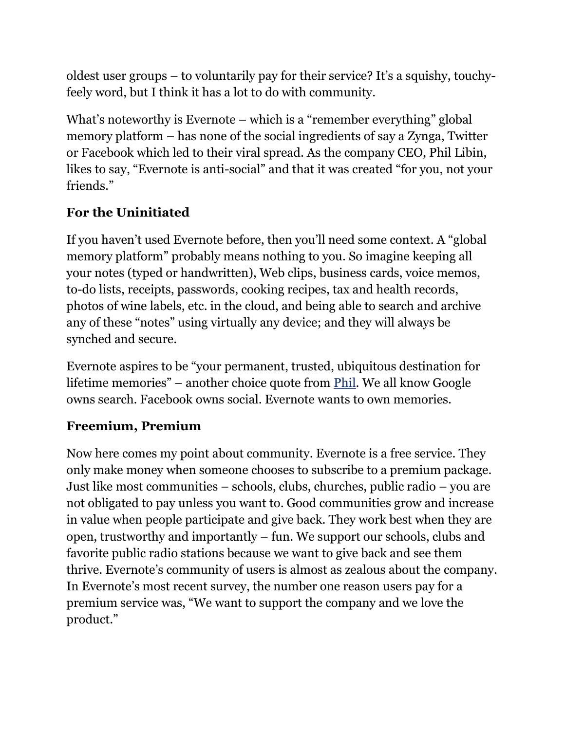oldest user groups – to voluntarily pay for their service? It's a squishy, touchyfeely word, but I think it has a lot to do with community.

What's noteworthy is Evernote – which is a "remember everything" global memory platform – has none of the social ingredients of say a Zynga, Twitter or Facebook which led to their viral spread. As the company CEO, Phil Libin, likes to say, "Evernote is anti-social" and that it was created "for you, not your friends."

## **For the Uninitiated**

If you haven't used Evernote before, then you'll need some context. A "global memory platform" probably means nothing to you. So imagine keeping all your notes (typed or handwritten), Web clips, business cards, voice memos, to-do lists, receipts, passwords, cooking recipes, tax and health records, photos of wine labels, etc. in the cloud, and being able to search and archive any of these "notes" using virtually any device; and they will always be synched and secure.

Evernote aspires to be "your permanent, trusted, ubiquitous destination for lifetime memories" – another choice quote from Phil. We all know Google owns search. Facebook owns social. Evernote wants to own memories.

## **Freemium, Premium**

Now here comes my point about community. Evernote is a free service. They only make money when someone chooses to subscribe to a premium package. Just like most communities – schools, clubs, churches, public radio – you are not obligated to pay unless you want to. Good communities grow and increase in value when people participate and give back. They work best when they are open, trustworthy and importantly – fun. We support our schools, clubs and favorite public radio stations because we want to give back and see them thrive. Evernote's community of users is almost as zealous about the company. In Evernote's most recent survey, the number one reason users pay for a premium service was, "We want to support the company and we love the product."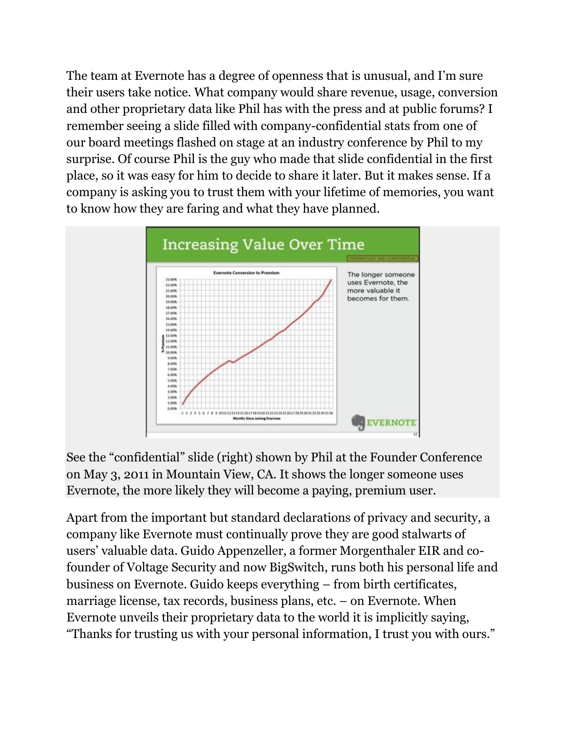The team at Evernote has a degree of openness that is unusual, and I'm sure their users take notice. What company would share revenue, usage, conversion and other proprietary data like Phil has with the press and at public forums? I remember seeing a slide filled with company-confidential stats from one of our board meetings flashed on stage at an industry conference by Phil to my surprise. Of course Phil is the guy who made that slide confidential in the first place, so it was easy for him to decide to share it later. But it makes sense. If a company is asking you to trust them with your lifetime of memories, you want to know how they are faring and what they have planned.



See the "confidential" slide (right) shown by Phil at the Founder Conference on May 3, 2011 in Mountain View, CA. It shows the longer someone uses Evernote, the more likely they will become a paying, premium user.

Apart from the important but standard declarations of privacy and security, a company like Evernote must continually prove they are good stalwarts of users' valuable data. Guido Appenzeller, a former Morgenthaler EIR and cofounder of Voltage Security and now BigSwitch, runs both his personal life and business on Evernote. Guido keeps everything – from birth certificates, marriage license, tax records, business plans, etc. – on Evernote. When Evernote unveils their proprietary data to the world it is implicitly saying, "Thanks for trusting us with your personal information, I trust you with ours."